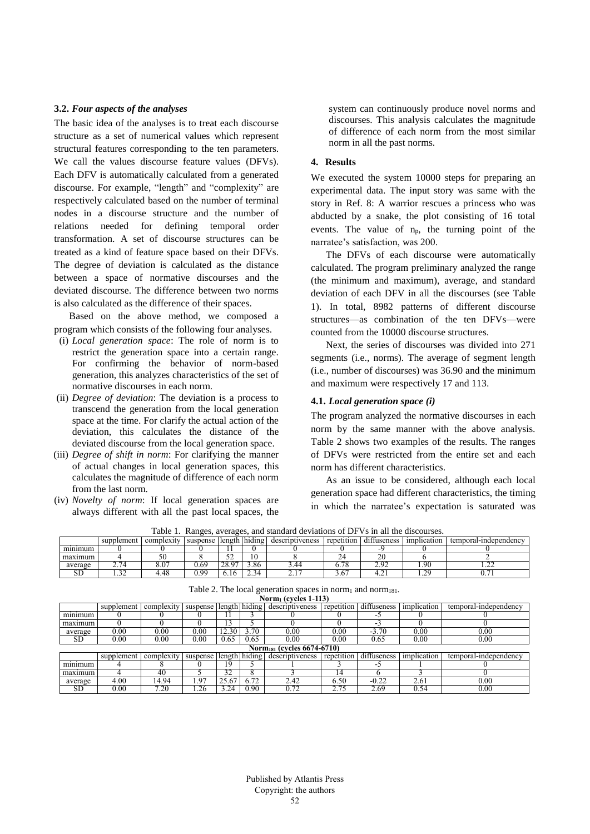### **3.2.** *Four aspects of the analyses*

The basic idea of the analyses is to treat each discourse structure as a set of numerical values which represent structural features corresponding to the ten parameters. We call the values discourse feature values (DFVs). Each DFV is automatically calculated from a generated discourse. For example, "length" and "complexity" are respectively calculated based on the number of terminal nodes in a discourse structure and the number of relations needed for defining temporal order transformation. A set of discourse structures can be treated as a kind of feature space based on their DFVs. The degree of deviation is calculated as the distance between a space of normative discourses and the deviated discourse. The difference between two norms is also calculated as the difference of their spaces.

Based on the above method, we composed a program which consists of the following four analyses.

- (i) *Local generation space*: The role of norm is to restrict the generation space into a certain range. For confirming the behavior of norm-based generation, this analyzes characteristics of the set of normative discourses in each norm.
- (ii) *Degree of deviation*: The deviation is a process to transcend the generation from the local generation space at the time. For clarify the actual action of the deviation, this calculates the distance of the deviated discourse from the local generation space.
- (iii) *Degree of shift in norm*: For clarifying the manner of actual changes in local generation spaces, this calculates the magnitude of difference of each norm from the last norm.
- (iv) *Novelty of norm*: If local generation spaces are always different with all the past local spaces, the

system can continuously produce novel norms and discourses. This analysis calculates the magnitude of difference of each norm from the most similar norm in all the past norms.

# **4. Results**

We executed the system 10000 steps for preparing an experimental data. The input story was same with the story in Ref. 8: A warrior rescues a princess who was abducted by a snake, the plot consisting of 16 total events. The value of  $n_p$ , the turning point of the narratee's satisfaction, was 200.

The DFVs of each discourse were automatically calculated. The program preliminary analyzed the range (the minimum and maximum), average, and standard deviation of each DFV in all the discourses (see Table 1). In total, 8982 patterns of different discourse structures—as combination of the ten DFVs—were counted from the 10000 discourse structures.

Next, the series of discourses was divided into 271 segments (i.e., norms). The average of segment length (i.e., number of discourses) was 36.90 and the minimum and maximum were respectively 17 and 113.

### **4.1.** *Local generation space (i)*

The program analyzed the normative discourses in each norm by the same manner with the above analysis. Table 2 shows two examples of the results. The ranges of DFVs were restricted from the entire set and each norm has different characteristics.

As an issue to be considered, although each local generation space had different characteristics, the timing in which the narratee's expectation is saturated was

| able<br>Ranges, averages, and standard deviations of DFVs in all the discourses. |            |            |                        |   |      |                            |  |             |             |                       |
|----------------------------------------------------------------------------------|------------|------------|------------------------|---|------|----------------------------|--|-------------|-------------|-----------------------|
|                                                                                  | supplement | complexity | suspense length hiding |   |      | descriptiveness repetition |  | diffuseness | implication | temporal-independency |
| minimum                                                                          |            |            |                        |   |      |                            |  |             |             |                       |
| maximum                                                                          |            |            |                        | ັ |      |                            |  |             |             |                       |
| average                                                                          |            | 3.07       | 69.ر                   |   | 3.86 | 44.,                       |  |             | 90          |                       |

Table 1. Ranges, averages, and standard deviations of DFVs in all the discourses.

| <b>NOTINI (CVCIES 1-113)</b>                |            |            |                        |       |      |                 |            |             |             |                       |  |
|---------------------------------------------|------------|------------|------------------------|-------|------|-----------------|------------|-------------|-------------|-----------------------|--|
|                                             | supplement | complexity | suspense length hiding |       |      | descriptiveness | repetition | diffuseness | implication | temporal-independency |  |
| minimum                                     |            |            |                        |       |      |                 |            | . .         |             |                       |  |
| maximum                                     |            |            |                        |       |      |                 |            | ÷.          |             |                       |  |
| average                                     | 0.00       | 0.00       | $0.00\,$               | 12.30 | 3.70 | 0.00            | 0.00       | $-3.70$     | 0.00        | 0.00                  |  |
| <b>SD</b>                                   | 0.00       | 0.00       | $0.00\,$               | 0.65  | 0.65 | 0.00            | $0.00\,$   | 0.65        | 0.00        | 0.00                  |  |
| Norm <sub>181</sub> (cycles $6674 - 6710$ ) |            |            |                        |       |      |                 |            |             |             |                       |  |
|                                             | supplement | complexity | suspense length hiding |       |      | descriptiveness | repetition | diffuseness | implication | temporal-independency |  |
| minimum                                     |            |            |                        | ۱9    |      |                 |            | - 1         |             |                       |  |
| maximum                                     |            | 40         |                        | 32    |      |                 |            |             |             |                       |  |
| average                                     | 4.00       | 14.94      | .97                    | 25.67 | 6.72 | 2.42            | 6.50       | $-0.22$     | 2.61        | 0.00                  |  |
| SD                                          | 0.00       | 7.20       | .26                    | 3.24  | 0.90 | 0.72            | 2.75       | 2.69        | 0.54        | 0.00                  |  |

Table 2. The local generation spaces in norm1 and norm181. **Norm<sup>1</sup> (cycles 1-113)**

SD 1.32 4.48 0.99 6.16 2.34 2.17 3.67 4.21 1.29 0.71